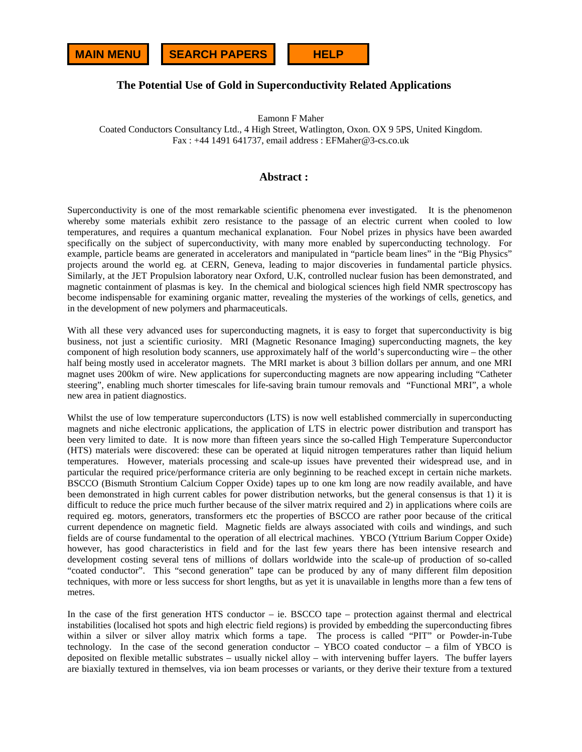

# **The Potential Use of Gold in Superconductivity Related Applications**

Eamonn F Maher

Coated Conductors Consultancy Ltd., 4 High Street, Watlington, Oxon. OX 9 5PS, United Kingdom. Fax : +44 1491 641737, email address : EFMaher@3-cs.co.uk

## **Abstract :**

Superconductivity is one of the most remarkable scientific phenomena ever investigated. It is the phenomenon whereby some materials exhibit zero resistance to the passage of an electric current when cooled to low temperatures, and requires a quantum mechanical explanation. Four Nobel prizes in physics have been awarded specifically on the subject of superconductivity, with many more enabled by superconducting technology. For example, particle beams are generated in accelerators and manipulated in "particle beam lines" in the "Big Physics" projects around the world eg. at CERN, Geneva, leading to major discoveries in fundamental particle physics. Similarly, at the JET Propulsion laboratory near Oxford, U.K, controlled nuclear fusion has been demonstrated, and magnetic containment of plasmas is key. In the chemical and biological sciences high field NMR spectroscopy has become indispensable for examining organic matter, revealing the mysteries of the workings of cells, genetics, and in the development of new polymers and pharmaceuticals.

With all these very advanced uses for superconducting magnets, it is easy to forget that superconductivity is big business, not just a scientific curiosity. MRI (Magnetic Resonance Imaging) superconducting magnets, the key component of high resolution body scanners, use approximately half of the world's superconducting wire – the other half being mostly used in accelerator magnets. The MRI market is about 3 billion dollars per annum, and one MRI magnet uses 200km of wire. New applications for superconducting magnets are now appearing including "Catheter steering", enabling much shorter timescales for life-saving brain tumour removals and "Functional MRI", a whole new area in patient diagnostics.

Whilst the use of low temperature superconductors (LTS) is now well established commercially in superconducting magnets and niche electronic applications, the application of LTS in electric power distribution and transport has been very limited to date. It is now more than fifteen years since the so-called High Temperature Superconductor (HTS) materials were discovered: these can be operated at liquid nitrogen temperatures rather than liquid helium temperatures. However, materials processing and scale-up issues have prevented their widespread use, and in particular the required price/performance criteria are only beginning to be reached except in certain niche markets. BSCCO (Bismuth Strontium Calcium Copper Oxide) tapes up to one km long are now readily available, and have been demonstrated in high current cables for power distribution networks, but the general consensus is that 1) it is difficult to reduce the price much further because of the silver matrix required and 2) in applications where coils are required eg. motors, generators, transformers etc the properties of BSCCO are rather poor because of the critical current dependence on magnetic field. Magnetic fields are always associated with coils and windings, and such fields are of course fundamental to the operation of all electrical machines. YBCO (Yttrium Barium Copper Oxide) however, has good characteristics in field and for the last few years there has been intensive research and development costing several tens of millions of dollars worldwide into the scale-up of production of so-called "coated conductor". This "second generation" tape can be produced by any of many different film deposition techniques, with more or less success for short lengths, but as yet it is unavailable in lengths more than a few tens of metres.

In the case of the first generation HTS conductor – ie. BSCCO tape – protection against thermal and electrical instabilities (localised hot spots and high electric field regions) is provided by embedding the superconducting fibres within a silver or silver alloy matrix which forms a tape. The process is called "PIT" or Powder-in-Tube technology. In the case of the second generation conductor – YBCO coated conductor – a film of YBCO is deposited on flexible metallic substrates – usually nickel alloy – with intervening buffer layers. The buffer layers are biaxially textured in themselves, via ion beam processes or variants, or they derive their texture from a textured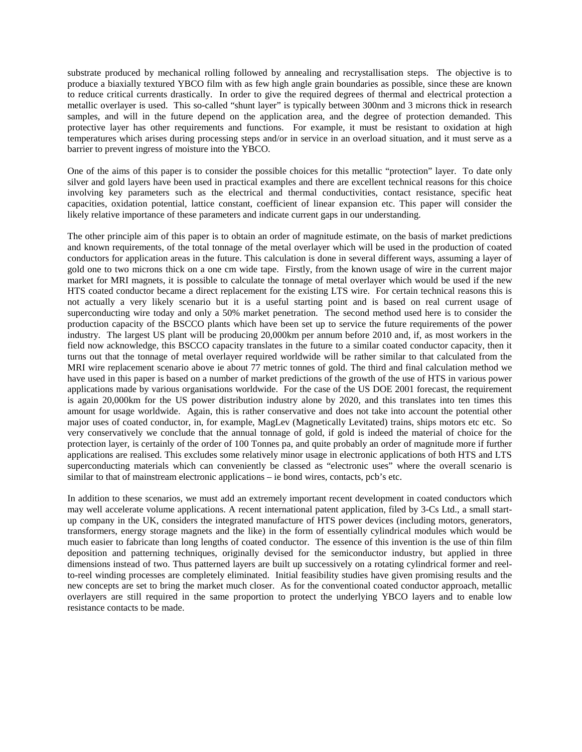substrate produced by mechanical rolling followed by annealing and recrystallisation steps. The objective is to produce a biaxially textured YBCO film with as few high angle grain boundaries as possible, since these are known to reduce critical currents drastically. In order to give the required degrees of thermal and electrical protection a metallic overlayer is used. This so-called "shunt layer" is typically between 300nm and 3 microns thick in research samples, and will in the future depend on the application area, and the degree of protection demanded. This protective layer has other requirements and functions. For example, it must be resistant to oxidation at high temperatures which arises during processing steps and/or in service in an overload situation, and it must serve as a barrier to prevent ingress of moisture into the YBCO.

One of the aims of this paper is to consider the possible choices for this metallic "protection" layer. To date only silver and gold layers have been used in practical examples and there are excellent technical reasons for this choice involving key parameters such as the electrical and thermal conductivities, contact resistance, specific heat capacities, oxidation potential, lattice constant, coefficient of linear expansion etc. This paper will consider the likely relative importance of these parameters and indicate current gaps in our understanding.

The other principle aim of this paper is to obtain an order of magnitude estimate, on the basis of market predictions and known requirements, of the total tonnage of the metal overlayer which will be used in the production of coated conductors for application areas in the future. This calculation is done in several different ways, assuming a layer of gold one to two microns thick on a one cm wide tape. Firstly, from the known usage of wire in the current major market for MRI magnets, it is possible to calculate the tonnage of metal overlayer which would be used if the new HTS coated conductor became a direct replacement for the existing LTS wire. For certain technical reasons this is not actually a very likely scenario but it is a useful starting point and is based on real current usage of superconducting wire today and only a 50% market penetration. The second method used here is to consider the production capacity of the BSCCO plants which have been set up to service the future requirements of the power industry. The largest US plant will be producing 20,000km per annum before 2010 and, if, as most workers in the field now acknowledge, this BSCCO capacity translates in the future to a similar coated conductor capacity, then it turns out that the tonnage of metal overlayer required worldwide will be rather similar to that calculated from the MRI wire replacement scenario above ie about 77 metric tonnes of gold. The third and final calculation method we have used in this paper is based on a number of market predictions of the growth of the use of HTS in various power applications made by various organisations worldwide. For the case of the US DOE 2001 forecast, the requirement is again 20,000km for the US power distribution industry alone by 2020, and this translates into ten times this amount for usage worldwide. Again, this is rather conservative and does not take into account the potential other major uses of coated conductor, in, for example, MagLev (Magnetically Levitated) trains, ships motors etc etc. So very conservatively we conclude that the annual tonnage of gold, if gold is indeed the material of choice for the protection layer, is certainly of the order of 100 Tonnes pa, and quite probably an order of magnitude more if further applications are realised. This excludes some relatively minor usage in electronic applications of both HTS and LTS superconducting materials which can conveniently be classed as "electronic uses" where the overall scenario is similar to that of mainstream electronic applications – ie bond wires, contacts, pcb's etc.

In addition to these scenarios, we must add an extremely important recent development in coated conductors which may well accelerate volume applications. A recent international patent application, filed by 3-Cs Ltd., a small startup company in the UK, considers the integrated manufacture of HTS power devices (including motors, generators, transformers, energy storage magnets and the like) in the form of essentially cylindrical modules which would be much easier to fabricate than long lengths of coated conductor. The essence of this invention is the use of thin film deposition and patterning techniques, originally devised for the semiconductor industry, but applied in three dimensions instead of two. Thus patterned layers are built up successively on a rotating cylindrical former and reelto-reel winding processes are completely eliminated. Initial feasibility studies have given promising results and the new concepts are set to bring the market much closer. As for the conventional coated conductor approach, metallic overlayers are still required in the same proportion to protect the underlying YBCO layers and to enable low resistance contacts to be made.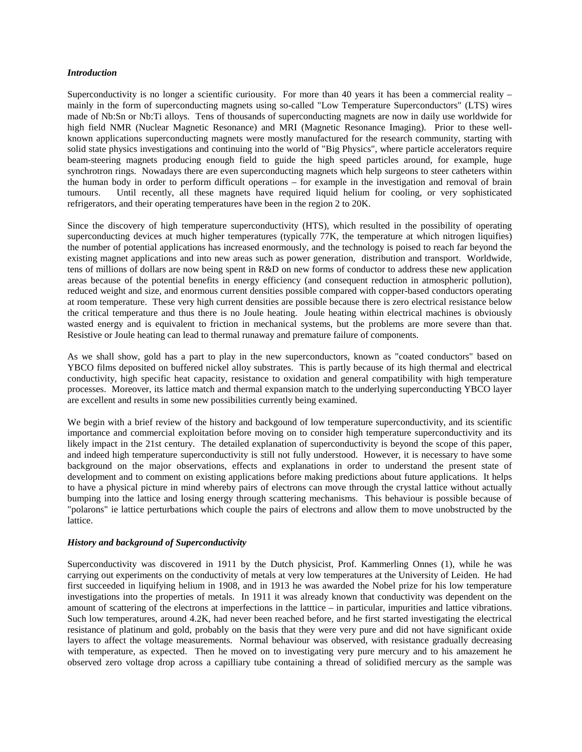## *Introduction*

Superconductivity is no longer a scientific curiousity. For more than 40 years it has been a commercial reality  $$ mainly in the form of superconducting magnets using so-called "Low Temperature Superconductors" (LTS) wires made of Nb:Sn or Nb:Ti alloys. Tens of thousands of superconducting magnets are now in daily use worldwide for high field NMR (Nuclear Magnetic Resonance) and MRI (Magnetic Resonance Imaging). Prior to these wellknown applications superconducting magnets were mostly manufactured for the research community, starting with solid state physics investigations and continuing into the world of "Big Physics", where particle accelerators require beam-steering magnets producing enough field to guide the high speed particles around, for example, huge synchrotron rings. Nowadays there are even superconducting magnets which help surgeons to steer catheters within the human body in order to perform difficult operations – for example in the investigation and removal of brain tumours. Until recently, all these magnets have required liquid helium for cooling, or very sophisticated refrigerators, and their operating temperatures have been in the region 2 to 20K.

Since the discovery of high temperature superconductivity (HTS), which resulted in the possibility of operating superconducting devices at much higher temperatures (typically 77K, the temperature at which nitrogen liquifies) the number of potential applications has increased enormously, and the technology is poised to reach far beyond the existing magnet applications and into new areas such as power generation, distribution and transport. Worldwide, tens of millions of dollars are now being spent in R&D on new forms of conductor to address these new application areas because of the potential benefits in energy efficiency (and consequent reduction in atmospheric pollution), reduced weight and size, and enormous current densities possible compared with copper-based conductors operating at room temperature. These very high current densities are possible because there is zero electrical resistance below the critical temperature and thus there is no Joule heating. Joule heating within electrical machines is obviously wasted energy and is equivalent to friction in mechanical systems, but the problems are more severe than that. Resistive or Joule heating can lead to thermal runaway and premature failure of components.

As we shall show, gold has a part to play in the new superconductors, known as "coated conductors" based on YBCO films deposited on buffered nickel alloy substrates. This is partly because of its high thermal and electrical conductivity, high specific heat capacity, resistance to oxidation and general compatibility with high temperature processes. Moreover, its lattice match and thermal expansion match to the underlying superconducting YBCO layer are excellent and results in some new possibilities currently being examined.

We begin with a brief review of the history and backgound of low temperature superconductivity, and its scientific importance and commercial exploitation before moving on to consider high temperature superconductivity and its likely impact in the 21st century. The detailed explanation of superconductivity is beyond the scope of this paper, and indeed high temperature superconductivity is still not fully understood. However, it is necessary to have some background on the major observations, effects and explanations in order to understand the present state of development and to comment on existing applications before making predictions about future applications. It helps to have a physical picture in mind whereby pairs of electrons can move through the crystal lattice without actually bumping into the lattice and losing energy through scattering mechanisms. This behaviour is possible because of "polarons" ie lattice perturbations which couple the pairs of electrons and allow them to move unobstructed by the lattice.

### *History and background of Superconductivity*

Superconductivity was discovered in 1911 by the Dutch physicist, Prof. Kammerling Onnes (1), while he was carrying out experiments on the conductivity of metals at very low temperatures at the University of Leiden. He had first succeeded in liquifying helium in 1908, and in 1913 he was awarded the Nobel prize for his low temperature investigations into the properties of metals. In 1911 it was already known that conductivity was dependent on the amount of scattering of the electrons at imperfections in the latttice – in particular, impurities and lattice vibrations. Such low temperatures, around 4.2K, had never been reached before, and he first started investigating the electrical resistance of platinum and gold, probably on the basis that they were very pure and did not have significant oxide layers to affect the voltage measurements. Normal behaviour was observed, with resistance gradually decreasing with temperature, as expected. Then he moved on to investigating very pure mercury and to his amazement he observed zero voltage drop across a capilliary tube containing a thread of solidified mercury as the sample was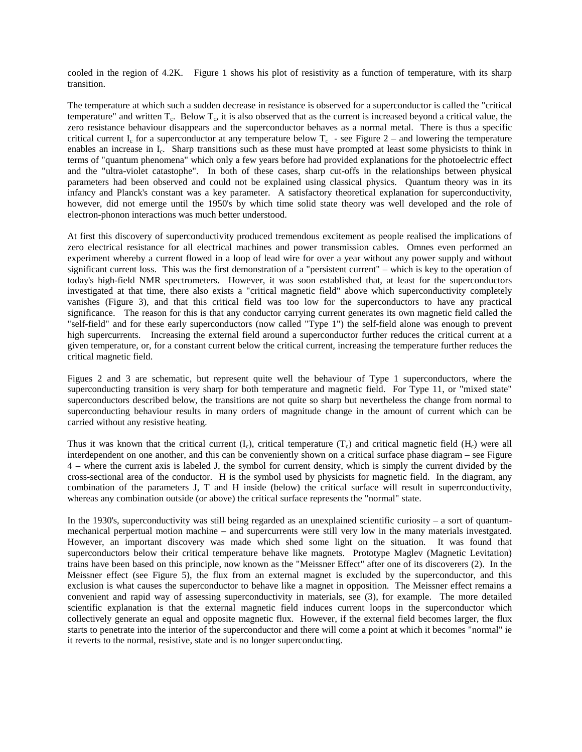cooled in the region of 4.2K. Figure 1 shows his plot of resistivity as a function of temperature, with its sharp transition.

The temperature at which such a sudden decrease in resistance is observed for a superconductor is called the "critical temperature" and written  $T_c$ . Below  $T_c$ , it is also observed that as the current is increased beyond a critical value, the zero resistance behaviour disappears and the superconductor behaves as a normal metal. There is thus a specific critical current  $I_c$  for a superconductor at any temperature below  $T_c$  - see Figure 2 – and lowering the temperature enables an increase in I<sub>c</sub>. Sharp transitions such as these must have prompted at least some physicists to think in terms of "quantum phenomena" which only a few years before had provided explanations for the photoelectric effect and the "ultra-violet catastophe". In both of these cases, sharp cut-offs in the relationships between physical parameters had been observed and could not be explained using classical physics. Quantum theory was in its infancy and Planck's constant was a key parameter. A satisfactory theoretical explanation for superconductivity, however, did not emerge until the 1950's by which time solid state theory was well developed and the role of electron-phonon interactions was much better understood.

At first this discovery of superconductivity produced tremendous excitement as people realised the implications of zero electrical resistance for all electrical machines and power transmission cables. Omnes even performed an experiment whereby a current flowed in a loop of lead wire for over a year without any power supply and without significant current loss. This was the first demonstration of a "persistent current" – which is key to the operation of today's high-field NMR spectrometers. However, it was soon established that, at least for the superconductors investigated at that time, there also exists a "critical magnetic field" above which superconductivity completely vanishes (Figure 3), and that this critical field was too low for the superconductors to have any practical significance. The reason for this is that any conductor carrying current generates its own magnetic field called the "self-field" and for these early superconductors (now called "Type 1") the self-field alone was enough to prevent high supercurrents. Increasing the external field around a superconductor further reduces the critical current at a given temperature, or, for a constant current below the critical current, increasing the temperature further reduces the critical magnetic field.

Figues 2 and 3 are schematic, but represent quite well the behaviour of Type 1 superconductors, where the superconducting transition is very sharp for both temperature and magnetic field. For Type 11, or "mixed state" superconductors described below, the transitions are not quite so sharp but nevertheless the change from normal to superconducting behaviour results in many orders of magnitude change in the amount of current which can be carried without any resistive heating.

Thus it was known that the critical current  $(I_c)$ , critical temperature  $(T_c)$  and critical magnetic field  $(H_c)$  were all interdependent on one another, and this can be conveniently shown on a critical surface phase diagram – see Figure 4 – where the current axis is labeled J, the symbol for current density, which is simply the current divided by the cross-sectional area of the conductor. H is the symbol used by physicists for magnetic field. In the diagram, any combination of the parameters J, T and H inside (below) the critical surface will result in superrconductivity, whereas any combination outside (or above) the critical surface represents the "normal" state.

In the 1930's, superconductivity was still being regarded as an unexplained scientific curiosity – a sort of quantummechanical perpertual motion machine – and supercurrents were still very low in the many materials investgated. However, an important discovery was made which shed some light on the situation. It was found that superconductors below their critical temperature behave like magnets. Prototype Maglev (Magnetic Levitation) trains have been based on this principle, now known as the "Meissner Effect" after one of its discoverers (2). In the Meissner effect (see Figure 5), the flux from an external magnet is excluded by the superconductor, and this exclusion is what causes the superconductor to behave like a magnet in opposition. The Meissner effect remains a convenient and rapid way of assessing superconductivity in materials, see (3), for example. The more detailed scientific explanation is that the external magnetic field induces current loops in the superconductor which collectively generate an equal and opposite magnetic flux. However, if the external field becomes larger, the flux starts to penetrate into the interior of the superconductor and there will come a point at which it becomes "normal" ie it reverts to the normal, resistive, state and is no longer superconducting.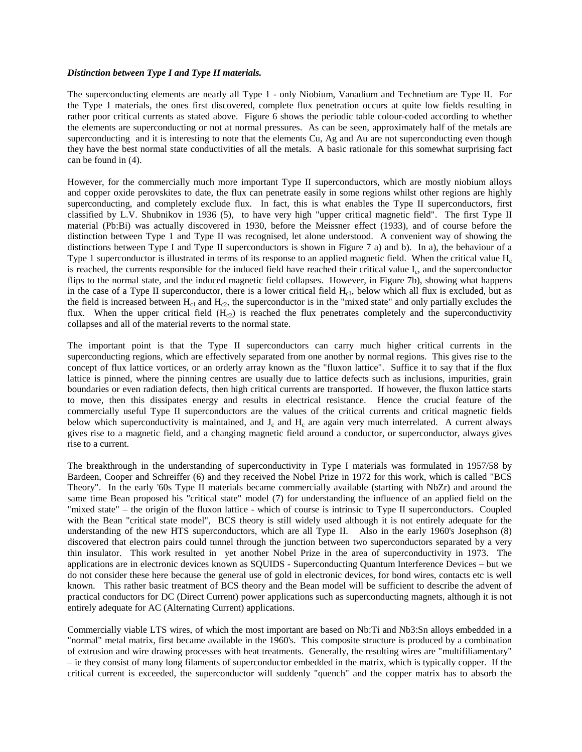#### *Distinction between Type I and Type II materials.*

The superconducting elements are nearly all Type 1 - only Niobium, Vanadium and Technetium are Type II. For the Type 1 materials, the ones first discovered, complete flux penetration occurs at quite low fields resulting in rather poor critical currents as stated above. Figure 6 shows the periodic table colour-coded according to whether the elements are superconducting or not at normal pressures. As can be seen, approximately half of the metals are superconducting and it is interesting to note that the elements Cu, Ag and Au are not superconducting even though they have the best normal state conductivities of all the metals. A basic rationale for this somewhat surprising fact can be found in (4).

However, for the commercially much more important Type II superconductors, which are mostly niobium alloys and copper oxide perovskites to date, the flux can penetrate easily in some regions whilst other regions are highly superconducting, and completely exclude flux. In fact, this is what enables the Type II superconductors, first classified by L.V. Shubnikov in 1936 (5), to have very high "upper critical magnetic field". The first Type II material (Pb:Bi) was actually discovered in 1930, before the Meissner effect (1933), and of course before the distinction between Type 1 and Type II was recognised, let alone understood. A convenient way of showing the distinctions between Type I and Type II superconductors is shown in Figure 7 a) and b). In a), the behaviour of a Type 1 superconductor is illustrated in terms of its response to an applied magnetic field. When the critical value  $H_c$ is reached, the currents responsible for the induced field have reached their critical value I<sub>c</sub>, and the superconductor flips to the normal state, and the induced magnetic field collapses. However, in Figure 7b), showing what happens in the case of a Type II superconductor, there is a lower critical field  $H<sub>cl</sub>$ , below which all flux is excluded, but as the field is increased between  $H_{c1}$  and  $H_{c2}$ , the superconductor is in the "mixed state" and only partially excludes the flux. When the upper critical field  $(H<sub>c2</sub>)$  is reached the flux penetrates completely and the superconductivity collapses and all of the material reverts to the normal state.

The important point is that the Type II superconductors can carry much higher critical currents in the superconducting regions, which are effectively separated from one another by normal regions. This gives rise to the concept of flux lattice vortices, or an orderly array known as the "fluxon lattice". Suffice it to say that if the flux lattice is pinned, where the pinning centres are usually due to lattice defects such as inclusions, impurities, grain boundaries or even radiation defects, then high critical currents are transported. If however, the fluxon lattice starts to move, then this dissipates energy and results in electrical resistance. Hence the crucial feature of the commercially useful Type II superconductors are the values of the critical currents and critical magnetic fields below which superconductivity is maintained, and  $J_c$  and  $H_c$  are again very much interrelated. A current always gives rise to a magnetic field, and a changing magnetic field around a conductor, or superconductor, always gives rise to a current.

The breakthrough in the understanding of superconductivity in Type I materials was formulated in 1957/58 by Bardeen, Cooper and Schreiffer (6) and they received the Nobel Prize in 1972 for this work, which is called "BCS Theory". In the early '60s Type II materials became commercially available (starting with NbZr) and around the same time Bean proposed his "critical state" model (7) for understanding the influence of an applied field on the "mixed state" – the origin of the fluxon lattice - which of course is intrinsic to Type II superconductors. Coupled with the Bean "critical state model", BCS theory is still widely used although it is not entirely adequate for the understanding of the new HTS superconductors, which are all Type II. Also in the early 1960's Josephson (8) discovered that electron pairs could tunnel through the junction between two superconductors separated by a very thin insulator. This work resulted in yet another Nobel Prize in the area of superconductivity in 1973. The applications are in electronic devices known as SQUIDS - Superconducting Quantum Interference Devices – but we do not consider these here because the general use of gold in electronic devices, for bond wires, contacts etc is well known. This rather basic treatment of BCS theory and the Bean model will be sufficient to describe the advent of practical conductors for DC (Direct Current) power applications such as superconducting magnets, although it is not entirely adequate for AC (Alternating Current) applications.

Commercially viable LTS wires, of which the most important are based on Nb:Ti and Nb3:Sn alloys embedded in a "normal" metal matrix, first became available in the 1960's. This composite structure is produced by a combination of extrusion and wire drawing processes with heat treatments. Generally, the resulting wires are "multifiliamentary" – ie they consist of many long filaments of superconductor embedded in the matrix, which is typically copper. If the critical current is exceeded, the superconductor will suddenly "quench" and the copper matrix has to absorb the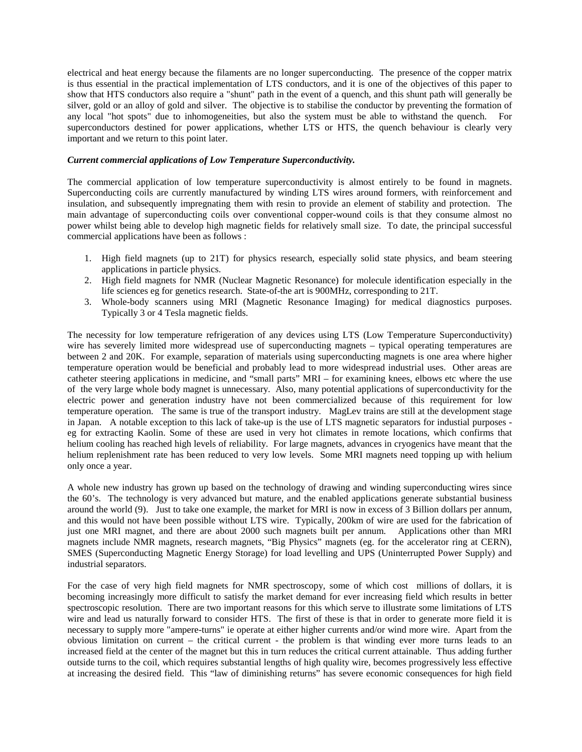electrical and heat energy because the filaments are no longer superconducting. The presence of the copper matrix is thus essential in the practical implementation of LTS conductors, and it is one of the objectives of this paper to show that HTS conductors also require a "shunt" path in the event of a quench, and this shunt path will generally be silver, gold or an alloy of gold and silver. The objective is to stabilise the conductor by preventing the formation of any local "hot spots" due to inhomogeneities, but also the system must be able to withstand the quench. For superconductors destined for power applications, whether LTS or HTS, the quench behaviour is clearly very important and we return to this point later.

#### *Current commercial applications of Low Temperature Superconductivity.*

The commercial application of low temperature superconductivity is almost entirely to be found in magnets. Superconducting coils are currently manufactured by winding LTS wires around formers, with reinforcement and insulation, and subsequently impregnating them with resin to provide an element of stability and protection. The main advantage of superconducting coils over conventional copper-wound coils is that they consume almost no power whilst being able to develop high magnetic fields for relatively small size. To date, the principal successful commercial applications have been as follows :

- 1. High field magnets (up to 21T) for physics research, especially solid state physics, and beam steering applications in particle physics.
- 2. High field magnets for NMR (Nuclear Magnetic Resonance) for molecule identification especially in the life sciences eg for genetics research. State-of-the art is 900MHz, corresponding to 21T.
- 3. Whole-body scanners using MRI (Magnetic Resonance Imaging) for medical diagnostics purposes. Typically 3 or 4 Tesla magnetic fields.

The necessity for low temperature refrigeration of any devices using LTS (Low Temperature Superconductivity) wire has severely limited more widespread use of superconducting magnets – typical operating temperatures are between 2 and 20K. For example, separation of materials using superconducting magnets is one area where higher temperature operation would be beneficial and probably lead to more widespread industrial uses. Other areas are catheter steering applications in medicine, and "small parts" MRI – for examining knees, elbows etc where the use of the very large whole body magnet is unnecessary. Also, many potential applications of superconductivity for the electric power and generation industry have not been commercialized because of this requirement for low temperature operation. The same is true of the transport industry. MagLev trains are still at the development stage in Japan. A notable exception to this lack of take-up is the use of LTS magnetic separators for industial purposes eg for extracting Kaolin. Some of these are used in very hot climates in remote locations, which confirms that helium cooling has reached high levels of reliability. For large magnets, advances in cryogenics have meant that the helium replenishment rate has been reduced to very low levels. Some MRI magnets need topping up with helium only once a year.

A whole new industry has grown up based on the technology of drawing and winding superconducting wires since the 60's. The technology is very advanced but mature, and the enabled applications generate substantial business around the world (9). Just to take one example, the market for MRI is now in excess of 3 Billion dollars per annum, and this would not have been possible without LTS wire. Typically, 200km of wire are used for the fabrication of just one MRI magnet, and there are about 2000 such magnets built per annum. Applications other than MRI magnets include NMR magnets, research magnets, "Big Physics" magnets (eg. for the accelerator ring at CERN), SMES (Superconducting Magnetic Energy Storage) for load levelling and UPS (Uninterrupted Power Supply) and industrial separators.

For the case of very high field magnets for NMR spectroscopy, some of which cost millions of dollars, it is becoming increasingly more difficult to satisfy the market demand for ever increasing field which results in better spectroscopic resolution. There are two important reasons for this which serve to illustrate some limitations of LTS wire and lead us naturally forward to consider HTS. The first of these is that in order to generate more field it is necessary to supply more "ampere-turns" ie operate at either higher currents and/or wind more wire. Apart from the obvious limitation on current – the critical current - the problem is that winding ever more turns leads to an increased field at the center of the magnet but this in turn reduces the critical current attainable. Thus adding further outside turns to the coil, which requires substantial lengths of high quality wire, becomes progressively less effective at increasing the desired field. This "law of diminishing returns" has severe economic consequences for high field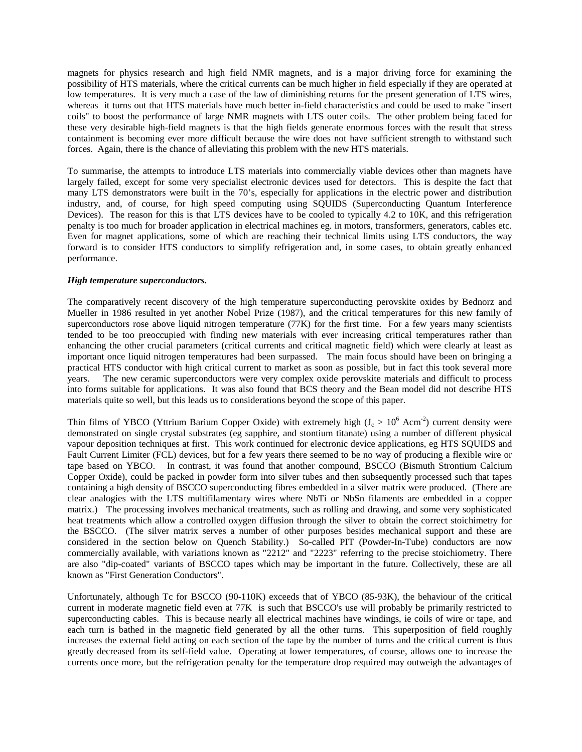magnets for physics research and high field NMR magnets, and is a major driving force for examining the possibility of HTS materials, where the critical currents can be much higher in field especially if they are operated at low temperatures. It is very much a case of the law of diminishing returns for the present generation of LTS wires, whereas it turns out that HTS materials have much better in-field characteristics and could be used to make "insert coils" to boost the performance of large NMR magnets with LTS outer coils. The other problem being faced for these very desirable high-field magnets is that the high fields generate enormous forces with the result that stress containment is becoming ever more difficult because the wire does not have sufficient strength to withstand such forces. Again, there is the chance of alleviating this problem with the new HTS materials.

To summarise, the attempts to introduce LTS materials into commercially viable devices other than magnets have largely failed, except for some very specialist electronic devices used for detectors. This is despite the fact that many LTS demonstrators were built in the 70's, especially for applications in the electric power and distribution industry, and, of course, for high speed computing using SQUIDS (Superconducting Quantum Interference Devices). The reason for this is that LTS devices have to be cooled to typically 4.2 to 10K, and this refrigeration penalty is too much for broader application in electrical machines eg. in motors, transformers, generators, cables etc. Even for magnet applications, some of which are reaching their technical limits using LTS conductors, the way forward is to consider HTS conductors to simplify refrigeration and, in some cases, to obtain greatly enhanced performance.

#### *High temperature superconductors.*

The comparatively recent discovery of the high temperature superconducting perovskite oxides by Bednorz and Mueller in 1986 resulted in yet another Nobel Prize (1987), and the critical temperatures for this new family of superconductors rose above liquid nitrogen temperature (77K) for the first time. For a few years many scientists tended to be too preoccupied with finding new materials with ever increasing critical temperatures rather than enhancing the other crucial parameters (critical currents and critical magnetic field) which were clearly at least as important once liquid nitrogen temperatures had been surpassed. The main focus should have been on bringing a practical HTS conductor with high critical current to market as soon as possible, but in fact this took several more years. The new ceramic superconductors were very complex oxide perovskite materials and difficult to process into forms suitable for applications. It was also found that BCS theory and the Bean model did not describe HTS materials quite so well, but this leads us to considerations beyond the scope of this paper.

Thin films of YBCO (Yttrium Barium Copper Oxide) with extremely high  $(J_c > 10^6$  Acm<sup>-2</sup>) current density were demonstrated on single crystal substrates (eg sapphire, and stontium titanate) using a number of different physical vapour deposition techniques at first. This work continued for electronic device applications, eg HTS SQUIDS and Fault Current Limiter (FCL) devices, but for a few years there seemed to be no way of producing a flexible wire or tape based on YBCO. In contrast, it was found that another compound, BSCCO (Bismuth Strontium Calcium Copper Oxide), could be packed in powder form into silver tubes and then subsequently processed such that tapes containing a high density of BSCCO superconducting fibres embedded in a silver matrix were produced. (There are clear analogies with the LTS multifilamentary wires where NbTi or NbSn filaments are embedded in a copper matrix.) The processing involves mechanical treatments, such as rolling and drawing, and some very sophisticated heat treatments which allow a controlled oxygen diffusion through the silver to obtain the correct stoichimetry for the BSCCO. (The silver matrix serves a number of other purposes besides mechanical support and these are considered in the section below on Quench Stability.) So-called PIT (Powder-In-Tube) conductors are now commercially available, with variations known as "2212" and "2223" referring to the precise stoichiometry. There are also "dip-coated" variants of BSCCO tapes which may be important in the future. Collectively, these are all known as "First Generation Conductors".

Unfortunately, although Tc for BSCCO (90-110K) exceeds that of YBCO (85-93K), the behaviour of the critical current in moderate magnetic field even at 77K is such that BSCCO's use will probably be primarily restricted to superconducting cables. This is because nearly all electrical machines have windings, ie coils of wire or tape, and each turn is bathed in the magnetic field generated by all the other turns. This superposition of field roughly increases the external field acting on each section of the tape by the number of turns and the critical current is thus greatly decreased from its self-field value. Operating at lower temperatures, of course, allows one to increase the currents once more, but the refrigeration penalty for the temperature drop required may outweigh the advantages of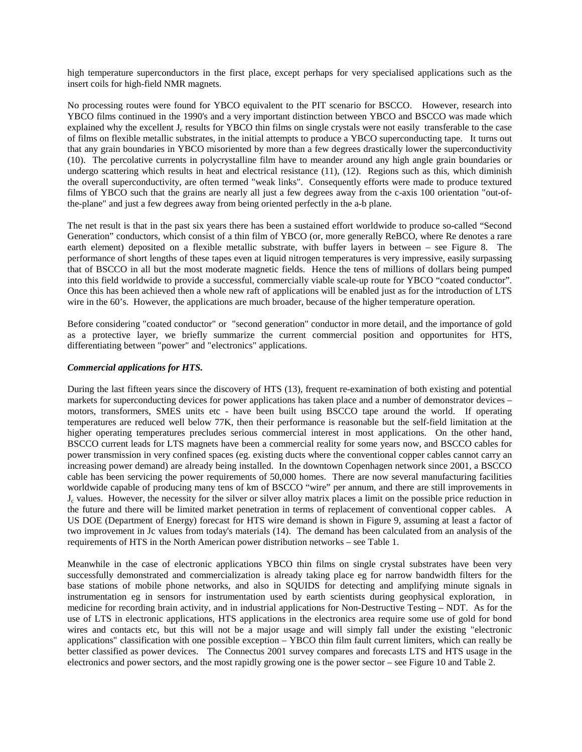high temperature superconductors in the first place, except perhaps for very specialised applications such as the insert coils for high-field NMR magnets.

No processing routes were found for YBCO equivalent to the PIT scenario for BSCCO. However, research into YBCO films continued in the 1990's and a very important distinction between YBCO and BSCCO was made which explained why the excellent  $J_c$  results for YBCO thin films on single crystals were not easily transferable to the case of films on flexible metallic substrates, in the initial attempts to produce a YBCO superconducting tape. It turns out that any grain boundaries in YBCO misoriented by more than a few degrees drastically lower the superconductivity (10). The percolative currents in polycrystalline film have to meander around any high angle grain boundaries or undergo scattering which results in heat and electrical resistance (11), (12). Regions such as this, which diminish the overall superconductivity, are often termed "weak links". Consequently efforts were made to produce textured films of YBCO such that the grains are nearly all just a few degrees away from the c-axis 100 orientation "out-ofthe-plane" and just a few degrees away from being oriented perfectly in the a-b plane.

The net result is that in the past six years there has been a sustained effort worldwide to produce so-called "Second Generation" conductors, which consist of a thin film of YBCO (or, more generally ReBCO, where Re denotes a rare earth element) deposited on a flexible metallic substrate, with buffer layers in between – see Figure 8. The performance of short lengths of these tapes even at liquid nitrogen temperatures is very impressive, easily surpassing that of BSCCO in all but the most moderate magnetic fields. Hence the tens of millions of dollars being pumped into this field worldwide to provide a successful, commercially viable scale-up route for YBCO "coated conductor". Once this has been achieved then a whole new raft of applications will be enabled just as for the introduction of LTS wire in the 60's. However, the applications are much broader, because of the higher temperature operation.

Before considering "coated conductor" or "second generation" conductor in more detail, and the importance of gold as a protective layer, we briefly summarize the current commercial position and opportunites for HTS, differentiating between "power" and "electronics" applications.

### *Commercial applications for HTS.*

During the last fifteen years since the discovery of HTS (13), frequent re-examination of both existing and potential markets for superconducting devices for power applications has taken place and a number of demonstrator devices – motors, transformers, SMES units etc - have been built using BSCCO tape around the world. If operating temperatures are reduced well below 77K, then their performance is reasonable but the self-field limitation at the higher operating temperatures precludes serious commercial interest in most applications. On the other hand, BSCCO current leads for LTS magnets have been a commercial reality for some years now, and BSCCO cables for power transmission in very confined spaces (eg. existing ducts where the conventional copper cables cannot carry an increasing power demand) are already being installed. In the downtown Copenhagen network since 2001, a BSCCO cable has been servicing the power requirements of 50,000 homes. There are now several manufacturing facilities worldwide capable of producing many tens of km of BSCCO "wire" per annum, and there are still improvements in  $J<sub>c</sub>$  values. However, the necessity for the silver or silver alloy matrix places a limit on the possible price reduction in the future and there will be limited market penetration in terms of replacement of conventional copper cables. A US DOE (Department of Energy) forecast for HTS wire demand is shown in Figure 9, assuming at least a factor of two improvement in Jc values from today's materials (14). The demand has been calculated from an analysis of the requirements of HTS in the North American power distribution networks – see Table 1.

Meanwhile in the case of electronic applications YBCO thin films on single crystal substrates have been very successfully demonstrated and commercialization is already taking place eg for narrow bandwidth filters for the base stations of mobile phone networks, and also in SQUIDS for detecting and amplifying minute signals in instrumentation eg in sensors for instrumentation used by earth scientists during geophysical exploration, in medicine for recording brain activity, and in industrial applications for Non-Destructive Testing – NDT. As for the use of LTS in electronic applications, HTS applications in the electronics area require some use of gold for bond wires and contacts etc, but this will not be a major usage and will simply fall under the existing "electronic applications" classification with one possible exception – YBCO thin film fault current limiters, which can really be better classified as power devices. The Connectus 2001 survey compares and forecasts LTS and HTS usage in the electronics and power sectors, and the most rapidly growing one is the power sector – see Figure 10 and Table 2.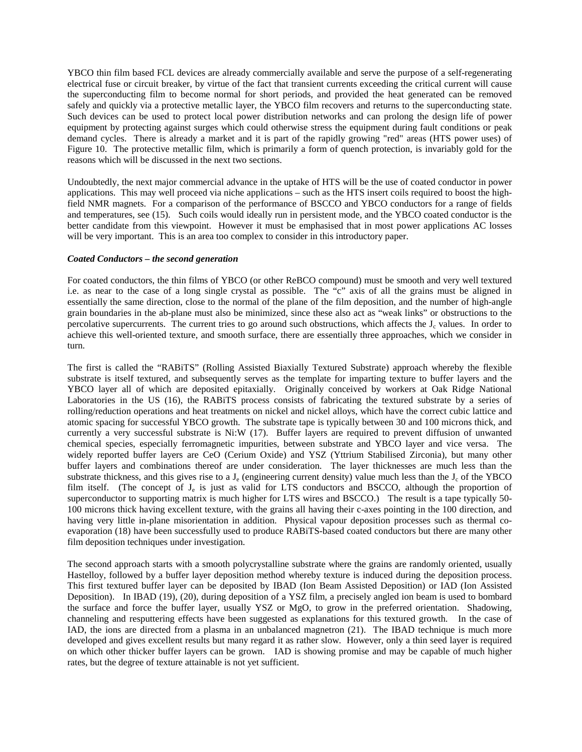YBCO thin film based FCL devices are already commercially available and serve the purpose of a self-regenerating electrical fuse or circuit breaker, by virtue of the fact that transient currents exceeding the critical current will cause the superconducting film to become normal for short periods, and provided the heat generated can be removed safely and quickly via a protective metallic layer, the YBCO film recovers and returns to the superconducting state. Such devices can be used to protect local power distribution networks and can prolong the design life of power equipment by protecting against surges which could otherwise stress the equipment during fault conditions or peak demand cycles. There is already a market and it is part of the rapidly growing "red" areas (HTS power uses) of Figure 10. The protective metallic film, which is primarily a form of quench protection, is invariably gold for the reasons which will be discussed in the next two sections.

Undoubtedly, the next major commercial advance in the uptake of HTS will be the use of coated conductor in power applications. This may well proceed via niche applications – such as the HTS insert coils required to boost the highfield NMR magnets. For a comparison of the performance of BSCCO and YBCO conductors for a range of fields and temperatures, see (15). Such coils would ideally run in persistent mode, and the YBCO coated conductor is the better candidate from this viewpoint. However it must be emphasised that in most power applications AC losses will be very important. This is an area too complex to consider in this introductory paper.

### *Coated Conductors – the second generation*

For coated conductors, the thin films of YBCO (or other ReBCO compound) must be smooth and very well textured i.e. as near to the case of a long single crystal as possible. The "c" axis of all the grains must be aligned in essentially the same direction, close to the normal of the plane of the film deposition, and the number of high-angle grain boundaries in the ab-plane must also be minimized, since these also act as "weak links" or obstructions to the percolative supercurrents. The current tries to go around such obstructions, which affects the  $J_c$  values. In order to achieve this well-oriented texture, and smooth surface, there are essentially three approaches, which we consider in turn.

The first is called the "RABiTS" (Rolling Assisted Biaxially Textured Substrate) approach whereby the flexible substrate is itself textured, and subsequently serves as the template for imparting texture to buffer layers and the YBCO layer all of which are deposited epitaxially. Originally conceived by workers at Oak Ridge National Laboratories in the US (16), the RABiTS process consists of fabricating the textured substrate by a series of rolling/reduction operations and heat treatments on nickel and nickel alloys, which have the correct cubic lattice and atomic spacing for successful YBCO growth. The substrate tape is typically between 30 and 100 microns thick, and currently a very successful substrate is Ni:W (17). Buffer layers are required to prevent diffusion of unwanted chemical species, especially ferromagnetic impurities, between substrate and YBCO layer and vice versa. The widely reported buffer layers are CeO (Cerium Oxide) and YSZ (Yttrium Stabilised Zirconia), but many other buffer layers and combinations thereof are under consideration. The layer thicknesses are much less than the substrate thickness, and this gives rise to a  $J<sub>e</sub>$  (engineering current density) value much less than the  $J<sub>e</sub>$  of the YBCO film itself. (The concept of J<sub>e</sub> is just as valid for LTS conductors and BSCCO, although the proportion of superconductor to supporting matrix is much higher for LTS wires and BSCCO.) The result is a tape typically 50- 100 microns thick having excellent texture, with the grains all having their c-axes pointing in the 100 direction, and having very little in-plane misorientation in addition. Physical vapour deposition processes such as thermal coevaporation (18) have been successfully used to produce RABiTS-based coated conductors but there are many other film deposition techniques under investigation.

The second approach starts with a smooth polycrystalline substrate where the grains are randomly oriented, usually Hastelloy, followed by a buffer layer deposition method whereby texture is induced during the deposition process. This first textured buffer layer can be deposited by IBAD (Ion Beam Assisted Deposition) or IAD (Ion Assisted Deposition). In IBAD (19), (20), during deposition of a YSZ film, a precisely angled ion beam is used to bombard the surface and force the buffer layer, usually YSZ or MgO, to grow in the preferred orientation. Shadowing, channeling and resputtering effects have been suggested as explanations for this textured growth. In the case of IAD, the ions are directed from a plasma in an unbalanced magnetron (21). The IBAD technique is much more developed and gives excellent results but many regard it as rather slow. However, only a thin seed layer is required on which other thicker buffer layers can be grown. IAD is showing promise and may be capable of much higher rates, but the degree of texture attainable is not yet sufficient.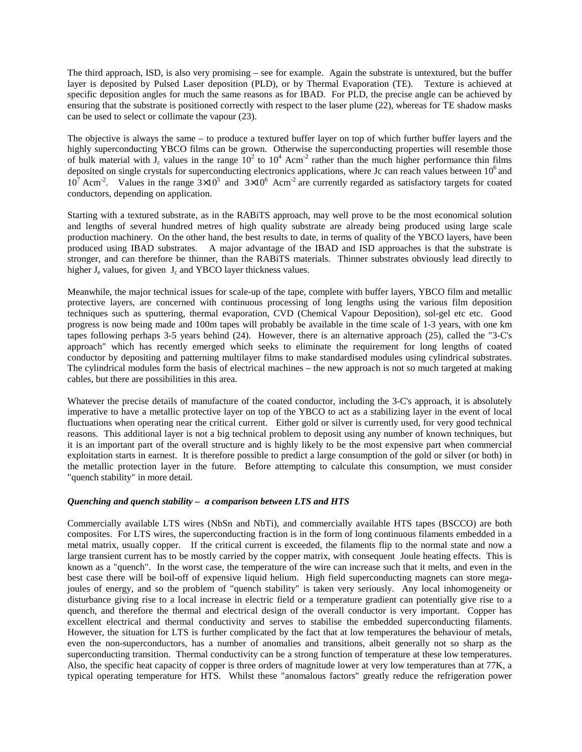The third approach, ISD, is also very promising – see for example. Again the substrate is untextured, but the buffer layer is deposited by Pulsed Laser deposition (PLD), or by Thermal Evaporation (TE). Texture is achieved at specific deposition angles for much the same reasons as for IBAD. For PLD, the precise angle can be achieved by ensuring that the substrate is positioned correctly with respect to the laser plume (22), whereas for TE shadow masks can be used to select or collimate the vapour (23).

The objective is always the same – to produce a textured buffer layer on top of which further buffer layers and the highly superconducting YBCO films can be grown. Otherwise the superconducting properties will resemble those of bulk material with  $J_c$  values in the range  $10^2$  to  $10^4$  Acm<sup>-2</sup> rather than the much higher performance thin films deposited on single crystals for superconducting electronics applications, where Jc can reach values between  $10<sup>6</sup>$  and  $10^7$  Acm<sup>-2</sup>. Values in the range  $3\times10^5$  and  $3\times10^6$  Acm<sup>-2</sup> are currently regarded as satisfactory targets for coated conductors, depending on application.

Starting with a textured substrate, as in the RABiTS approach, may well prove to be the most economical solution and lengths of several hundred metres of high quality substrate are already being produced using large scale production machinery. On the other hand, the best results to date, in terms of quality of the YBCO layers, have been produced using IBAD substrates. A major advantage of the IBAD and ISD approaches is that the substrate is stronger, and can therefore be thinner, than the RABiTS materials. Thinner substrates obviously lead directly to higher  $J_e$  values, for given  $J_c$  and YBCO layer thickness values.

Meanwhile, the major technical issues for scale-up of the tape, complete with buffer layers, YBCO film and metallic protective layers, are concerned with continuous processing of long lengths using the various film deposition techniques such as sputtering, thermal evaporation, CVD (Chemical Vapour Deposition), sol-gel etc etc. Good progress is now being made and 100m tapes will probably be available in the time scale of 1-3 years, with one km tapes following perhaps 3-5 years behind (24). However, there is an alternative approach (25), called the "3-C's approach" which has recently emerged which seeks to eliminate the requirement for long lengths of coated conductor by depositing and patterning multilayer films to make standardised modules using cylindrical substrates. The cylindrical modules form the basis of electrical machines – the new approach is not so much targeted at making cables, but there are possibilities in this area.

Whatever the precise details of manufacture of the coated conductor, including the 3-C's approach, it is absolutely imperative to have a metallic protective layer on top of the YBCO to act as a stabilizing layer in the event of local fluctuations when operating near the critical current. Either gold or silver is currently used, for very good technical reasons. This additional layer is not a big technical problem to deposit using any number of known techniques, but it is an important part of the overall structure and is highly likely to be the most expensive part when commercial exploitation starts in earnest. It is therefore possible to predict a large consumption of the gold or silver (or both) in the metallic protection layer in the future. Before attempting to calculate this consumption, we must consider "quench stability" in more detail.

## *Quenching and quench stability – a comparison between LTS and HTS*

Commercially available LTS wires (NbSn and NbTi), and commercially available HTS tapes (BSCCO) are both composites. For LTS wires, the superconducting fraction is in the form of long continuous filaments embedded in a metal matrix, usually copper. If the critical current is exceeded, the filaments flip to the normal state and now a large transient current has to be mostly carried by the copper matrix, with consequent Joule heating effects. This is known as a "quench". In the worst case, the temperature of the wire can increase such that it melts, and even in the best case there will be boil-off of expensive liquid helium. High field superconducting magnets can store megajoules of energy, and so the problem of "quench stability" is taken very seriously. Any local inhomogeneity or disturbance giving rise to a local increase in electric field or a temperature gradient can potentially give rise to a quench, and therefore the thermal and electrical design of the overall conductor is very important. Copper has excellent electrical and thermal conductivity and serves to stabilise the embedded superconducting filaments. However, the situation for LTS is further complicated by the fact that at low temperatures the behaviour of metals, even the non-superconductors, has a number of anomalies and transitions, albeit generally not so sharp as the superconducting transition. Thermal conductivity can be a strong function of temperature at these low temperatures. Also, the specific heat capacity of copper is three orders of magnitude lower at very low temperatures than at 77K, a typical operating temperature for HTS. Whilst these "anomalous factors" greatly reduce the refrigeration power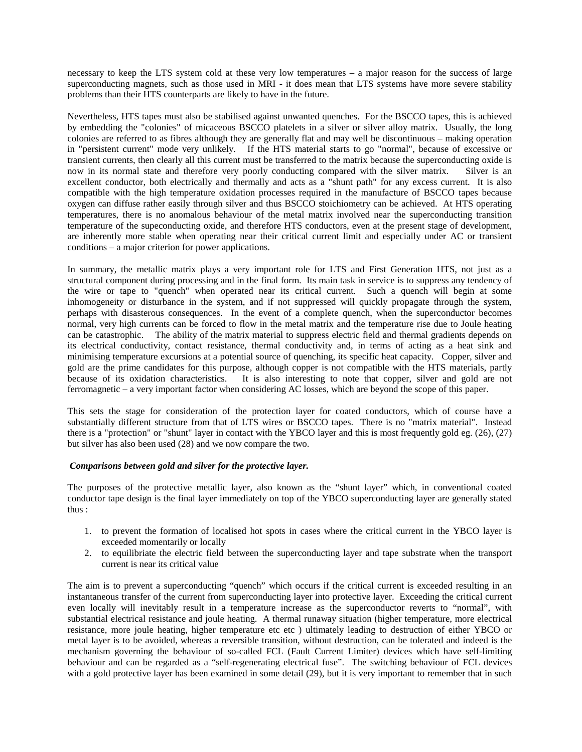necessary to keep the LTS system cold at these very low temperatures – a major reason for the success of large superconducting magnets, such as those used in MRI - it does mean that LTS systems have more severe stability problems than their HTS counterparts are likely to have in the future.

Nevertheless, HTS tapes must also be stabilised against unwanted quenches. For the BSCCO tapes, this is achieved by embedding the "colonies" of micaceous BSCCO platelets in a silver or silver alloy matrix. Usually, the long colonies are referred to as fibres although they are generally flat and may well be discontinuous – making operation in "persistent current" mode very unlikely. If the HTS material starts to go "normal", because of excessive or transient currents, then clearly all this current must be transferred to the matrix because the superconducting oxide is now in its normal state and therefore very poorly conducting compared with the silver matrix. Silver is an excellent conductor, both electrically and thermally and acts as a "shunt path" for any excess current. It is also compatible with the high temperature oxidation processes required in the manufacture of BSCCO tapes because oxygen can diffuse rather easily through silver and thus BSCCO stoichiometry can be achieved. At HTS operating temperatures, there is no anomalous behaviour of the metal matrix involved near the superconducting transition temperature of the supeconducting oxide, and therefore HTS conductors, even at the present stage of development, are inherently more stable when operating near their critical current limit and especially under AC or transient conditions – a major criterion for power applications.

In summary, the metallic matrix plays a very important role for LTS and First Generation HTS, not just as a structural component during processing and in the final form. Its main task in service is to suppress any tendency of the wire or tape to "quench" when operated near its critical current. Such a quench will begin at some inhomogeneity or disturbance in the system, and if not suppressed will quickly propagate through the system, perhaps with disasterous consequences. In the event of a complete quench, when the superconductor becomes normal, very high currents can be forced to flow in the metal matrix and the temperature rise due to Joule heating can be catastrophic. The ability of the matrix material to suppress electric field and thermal gradients depends on its electrical conductivity, contact resistance, thermal conductivity and, in terms of acting as a heat sink and minimising temperature excursions at a potential source of quenching, its specific heat capacity. Copper, silver and gold are the prime candidates for this purpose, although copper is not compatible with the HTS materials, partly<br>because of its oxidation characteristics. It is also interesting to note that copper, silver and gold are not It is also interesting to note that copper, silver and gold are not ferromagnetic – a very important factor when considering AC losses, which are beyond the scope of this paper.

This sets the stage for consideration of the protection layer for coated conductors, which of course have a substantially different structure from that of LTS wires or BSCCO tapes. There is no "matrix material". Instead there is a "protection" or "shunt" layer in contact with the YBCO layer and this is most frequently gold eg. (26), (27) but silver has also been used (28) and we now compare the two.

### *Comparisons between gold and silver for the protective layer.*

The purposes of the protective metallic layer, also known as the "shunt layer" which, in conventional coated conductor tape design is the final layer immediately on top of the YBCO superconducting layer are generally stated thus :

- 1. to prevent the formation of localised hot spots in cases where the critical current in the YBCO layer is exceeded momentarily or locally
- 2. to equilibriate the electric field between the superconducting layer and tape substrate when the transport current is near its critical value

The aim is to prevent a superconducting "quench" which occurs if the critical current is exceeded resulting in an instantaneous transfer of the current from superconducting layer into protective layer. Exceeding the critical current even locally will inevitably result in a temperature increase as the superconductor reverts to "normal", with substantial electrical resistance and joule heating. A thermal runaway situation (higher temperature, more electrical resistance, more joule heating, higher temperature etc etc ) ultimately leading to destruction of either YBCO or metal layer is to be avoided, whereas a reversible transition, without destruction, can be tolerated and indeed is the mechanism governing the behaviour of so-called FCL (Fault Current Limiter) devices which have self-limiting behaviour and can be regarded as a "self-regenerating electrical fuse". The switching behaviour of FCL devices with a gold protective layer has been examined in some detail (29), but it is very important to remember that in such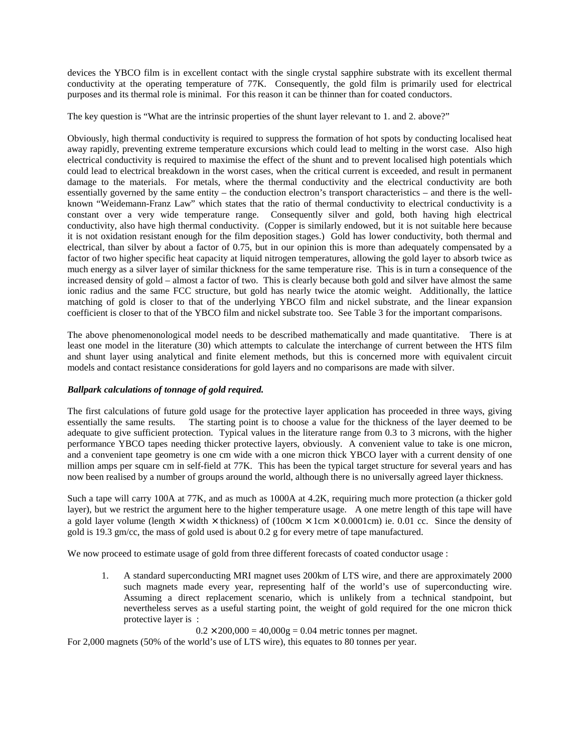devices the YBCO film is in excellent contact with the single crystal sapphire substrate with its excellent thermal conductivity at the operating temperature of 77K. Consequently, the gold film is primarily used for electrical purposes and its thermal role is minimal. For this reason it can be thinner than for coated conductors.

The key question is "What are the intrinsic properties of the shunt layer relevant to 1. and 2. above?"

Obviously, high thermal conductivity is required to suppress the formation of hot spots by conducting localised heat away rapidly, preventing extreme temperature excursions which could lead to melting in the worst case. Also high electrical conductivity is required to maximise the effect of the shunt and to prevent localised high potentials which could lead to electrical breakdown in the worst cases, when the critical current is exceeded, and result in permanent damage to the materials. For metals, where the thermal conductivity and the electrical conductivity are both essentially governed by the same entity – the conduction electron's transport characteristics – and there is the wellknown "Weidemann-Franz Law" which states that the ratio of thermal conductivity to electrical conductivity is a constant over a very wide temperature range. Consequently silver and gold, both having high electrical conductivity, also have high thermal conductivity. (Copper is similarly endowed, but it is not suitable here because it is not oxidation resistant enough for the film deposition stages.) Gold has lower conductivity, both thermal and electrical, than silver by about a factor of 0.75, but in our opinion this is more than adequately compensated by a factor of two higher specific heat capacity at liquid nitrogen temperatures, allowing the gold layer to absorb twice as much energy as a silver layer of similar thickness for the same temperature rise. This is in turn a consequence of the increased density of gold – almost a factor of two. This is clearly because both gold and silver have almost the same ionic radius and the same FCC structure, but gold has nearly twice the atomic weight. Additionally, the lattice matching of gold is closer to that of the underlying YBCO film and nickel substrate, and the linear expansion coefficient is closer to that of the YBCO film and nickel substrate too. See Table 3 for the important comparisons.

The above phenomenonological model needs to be described mathematically and made quantitative. There is at least one model in the literature (30) which attempts to calculate the interchange of current between the HTS film and shunt layer using analytical and finite element methods, but this is concerned more with equivalent circuit models and contact resistance considerations for gold layers and no comparisons are made with silver.

## *Ballpark calculations of tonnage of gold required.*

The first calculations of future gold usage for the protective layer application has proceeded in three ways, giving essentially the same results. The starting point is to choose a value for the thickness of the layer deemed to be adequate to give sufficient protection. Typical values in the literature range from 0.3 to 3 microns, with the higher performance YBCO tapes needing thicker protective layers, obviously. A convenient value to take is one micron, and a convenient tape geometry is one cm wide with a one micron thick YBCO layer with a current density of one million amps per square cm in self-field at 77K. This has been the typical target structure for several years and has now been realised by a number of groups around the world, although there is no universally agreed layer thickness.

Such a tape will carry 100A at 77K, and as much as 1000A at 4.2K, requiring much more protection (a thicker gold layer), but we restrict the argument here to the higher temperature usage. A one metre length of this tape will have a gold layer volume (length  $\times$  width  $\times$  thickness) of (100cm  $\times$  1cm  $\times$  0.0001cm) ie. 0.01 cc. Since the density of gold is 19.3 gm/cc, the mass of gold used is about 0.2 g for every metre of tape manufactured.

We now proceed to estimate usage of gold from three different forecasts of coated conductor usage :

1. A standard superconducting MRI magnet uses 200km of LTS wire, and there are approximately 2000 such magnets made every year, representing half of the world's use of superconducting wire. Assuming a direct replacement scenario, which is unlikely from a technical standpoint, but nevertheless serves as a useful starting point, the weight of gold required for the one micron thick protective layer is :

 $0.2 \times 200,000 = 40,000$ g = 0.04 metric tonnes per magnet.

For 2,000 magnets (50% of the world's use of LTS wire), this equates to 80 tonnes per year.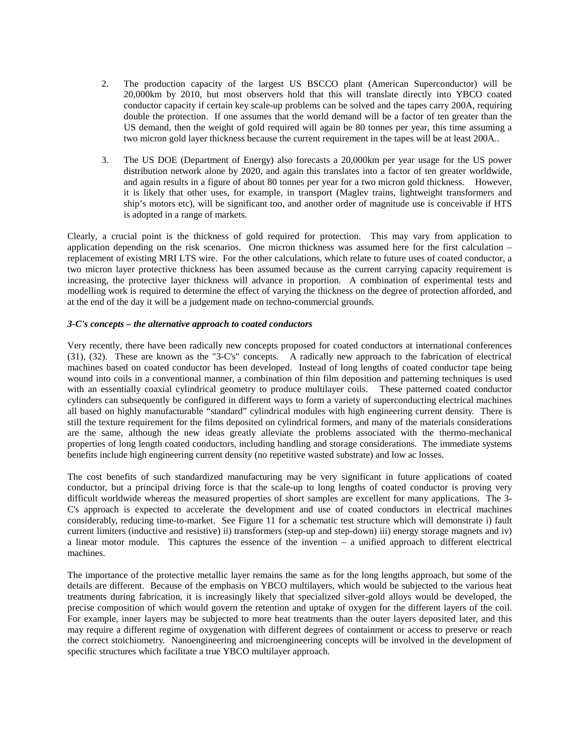- 2. The production capacity of the largest US BSCCO plant (American Superconductor) will be 20,000km by 2010, but most observers hold that this will translate directly into YBCO coated conductor capacity if certain key scale-up problems can be solved and the tapes carry 200A, requiring double the protection. If one assumes that the world demand will be a factor of ten greater than the US demand, then the weight of gold required will again be 80 tonnes per year, this time assuming a two micron gold layer thickness because the current requirement in the tapes will be at least 200A..
- 3. The US DOE (Department of Energy) also forecasts a 20,000km per year usage for the US power distribution network alone by 2020, and again this translates into a factor of ten greater worldwide, and again results in a figure of about 80 tonnes per year for a two micron gold thickness. However, it is likely that other uses, for example, in transport (Maglev trains, lightweight transformers and ship's motors etc), will be significant too, and another order of magnitude use is conceivable if HTS is adopted in a range of markets.

Clearly, a crucial point is the thickness of gold required for protection. This may vary from application to application depending on the risk scenarios. One micron thickness was assumed here for the first calculation – replacement of existing MRI LTS wire. For the other calculations, which relate to future uses of coated conductor, a two micron layer protective thickness has been assumed because as the current carrying capacity requirement is increasing, the protective layer thickness will advance in proportion. A combination of experimental tests and modelling work is required to determine the effect of varying the thickness on the degree of protection afforded, and at the end of the day it will be a judgement made on techno-commercial grounds.

## *3-C's concepts – the alternative approach to coated conductors*

Very recently, there have been radically new concepts proposed for coated conductors at international conferences (31), (32). These are known as the "3-C's" concepts. A radically new approach to the fabrication of electrical machines based on coated conductor has been developed. Instead of long lengths of coated conductor tape being wound into coils in a conventional manner, a combination of thin film deposition and patterning techniques is used with an essentially coaxial cylindrical geometry to produce multilayer coils. These patterned coated conductor cylinders can subsequently be configured in different ways to form a variety of superconducting electrical machines all based on highly manufacturable "standard" cylindrical modules with high engineering current density. There is still the texture requirement for the films deposited on cylindrical formers, and many of the materials considerations are the same, although the new ideas greatly alleviate the problems associated with the thermo-mechanical properties of long length coated conductors, including handling and storage considerations. The immediate systems benefits include high engineering current density (no repetitive wasted substrate) and low ac losses.

The cost benefits of such standardized manufacturing may be very significant in future applications of coated conductor, but a principal driving force is that the scale-up to long lengths of coated conductor is proving very difficult worldwide whereas the measured properties of short samples are excellent for many applications. The 3- C's approach is expected to accelerate the development and use of coated conductors in electrical machines considerably, reducing time-to-market. See Figure 11 for a schematic test structure which will demonstrate i) fault current limiters (inductive and resistive) ii) transformers (step-up and step-down) iii) energy storage magnets and iv) a linear motor module. This captures the essence of the invention – a unified approach to different electrical machines.

The importance of the protective metallic layer remains the same as for the long lengths approach, but some of the details are different. Because of the emphasis on YBCO multilayers, which would be subjected to the various heat treatments during fabrication, it is increasingly likely that specialized silver-gold alloys would be developed, the precise composition of which would govern the retention and uptake of oxygen for the different layers of the coil. For example, inner layers may be subjected to more heat treatments than the outer layers deposited later, and this may require a different regime of oxygenation with different degrees of containment or access to preserve or reach the correct stoichiometry. Nanoengineering and microengineering concepts will be involved in the development of specific structures which facilitate a true YBCO multilayer approach.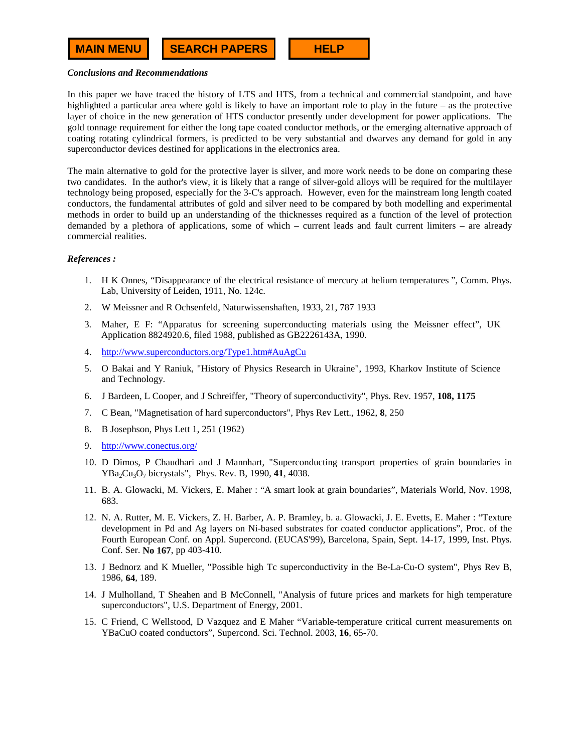#### *Conclusions and Recommendations*

In this paper we have traced the history of LTS and HTS, from a technical and commercial standpoint, and have highlighted a particular area where gold is likely to have an important role to play in the future – as the protective layer of choice in the new generation of HTS conductor presently under development for power applications. The gold tonnage requirement for either the long tape coated conductor methods, or the emerging alternative approach of coating rotating cylindrical formers, is predicted to be very substantial and dwarves any demand for gold in any superconductor devices destined for applications in the electronics area.

The main alternative to gold for the protective layer is silver, and more work needs to be done on comparing these two candidates. In the author's view, it is likely that a range of silver-gold alloys will be required for the multilayer technology being proposed, especially for the 3-C's approach. However, even for the mainstream long length coated conductors, the fundamental attributes of gold and silver need to be compared by both modelling and experimental methods in order to build up an understanding of the thicknesses required as a function of the level of protection demanded by a plethora of applications, some of which – current leads and fault current limiters – are already commercial realities.

### *References :*

- 1. H K Onnes, "Disappearance of the electrical resistance of mercury at helium temperatures ", Comm. Phys. Lab, University of Leiden, 1911, No. 124c.
- 2. W Meissner and R Ochsenfeld, Naturwissenshaften, 1933, 21, 787 1933
- 3. Maher, E F: "Apparatus for screening superconducting materials using the Meissner effect", UK Application 8824920.6, filed 1988, published as GB2226143A, 1990.
- 4. http://www.superconductors.org/Type1.htm#AuAgCu
- 5. O Bakai and Y Raniuk, "History of Physics Research in Ukraine", 1993, Kharkov Institute of Science and Technology.
- 6. J Bardeen, L Cooper, and J Schreiffer, "Theory of superconductivity", Phys. Rev. 1957, **108, 1175**
- 7. C Bean, "Magnetisation of hard superconductors", Phys Rev Lett., 1962, **8**, 250
- 8. B Josephson, Phys Lett 1, 251 (1962)
- 9. http://www.conectus.org/
- 10. D Dimos, P Chaudhari and J Mannhart, "Superconducting transport properties of grain boundaries in YBa<sub>2</sub>Cu<sub>3</sub>O<sub>7</sub> bicrystals", Phys. Rev. B, 1990, 41, 4038.
- 11. B. A. Glowacki, M. Vickers, E. Maher : "A smart look at grain boundaries", Materials World, Nov. 1998, 683.
- 12. N. A. Rutter, M. E. Vickers, Z. H. Barber, A. P. Bramley, b. a. Glowacki, J. E. Evetts, E. Maher : "Texture development in Pd and Ag layers on Ni-based substrates for coated conductor applications", Proc. of the Fourth European Conf. on Appl. Supercond. (EUCAS'99), Barcelona, Spain, Sept. 14-17, 1999, Inst. Phys. Conf. Ser. **No 167**, pp 403-410.
- 13. J Bednorz and K Mueller, "Possible high Tc superconductivity in the Be-La-Cu-O system", Phys Rev B, 1986, **64**, 189.
- 14. J Mulholland, T Sheahen and B McConnell, "Analysis of future prices and markets for high temperature superconductors", U.S. Department of Energy, 2001.
- 15. C Friend, C Wellstood, D Vazquez and E Maher "Variable-temperature critical current measurements on YBaCuO coated conductors", Supercond. Sci. Technol. 2003, **16**, 65-70.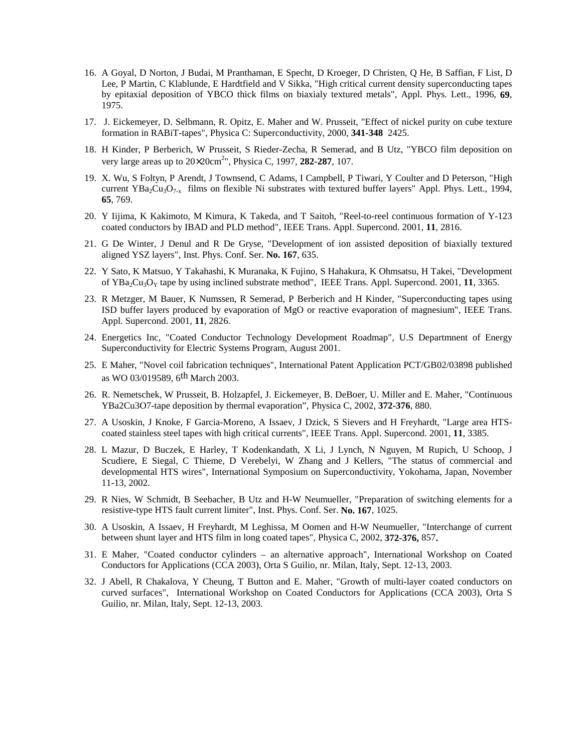- 16. A Goyal, D Norton, J Budai, M Pranthaman, E Specht, D Kroeger, D Christen, Q He, B Saffian, F List, D Lee, P Martin, C Klablunde, E Hardtfield and V Sikka, "High critical current density superconducting tapes by epitaxial deposition of YBCO thick films on biaxialy textured metals", Appl. Phys. Lett., 1996, **69**, 1975.
- 17. J. Eickemeyer, D. Selbmann, R. Opitz, E. Maher and W. Prusseit, "Effect of nickel purity on cube texture formation in RABiT-tapes", Physica C: Superconductivity, 2000, **341-348** 2425.
- 18. H Kinder, P Berberich, W Prusseit, S Rieder-Zecha, R Semerad, and B Utz, "YBCO film deposition on very large areas up to 20×20cm2 ", Physica C, 1997, **282-287**, 107.
- 19. X. Wu, S Foltyn, P Arendt, J Townsend, C Adams, I Campbell, P Tiwari, Y Coulter and D Peterson, "High current YBa<sub>2</sub>Cu<sub>3</sub>O<sub>7-x</sub> films on flexible Ni substrates with textured buffer layers" Appl. Phys. Lett., 1994, **65**, 769.
- 20. Y Iijima, K Kakimoto, M Kimura, K Takeda, and T Saitoh, "Reel-to-reel continuous formation of Y-123 coated conductors by IBAD and PLD method", IEEE Trans. Appl. Supercond. 2001, **11**, 2816.
- 21. G De Winter, J Denul and R De Gryse, "Development of ion assisted deposition of biaxially textured aligned YSZ layers", Inst. Phys. Conf. Ser. **No. 167**, 635.
- 22. Y Sato, K Matsuo, Y Takahashi, K Muranaka, K Fujino, S Hahakura, K Ohmsatsu, H Takei, "Development of YBa2Cu3OY tape by using inclined substrate method", IEEE Trans. Appl. Supercond. 2001, **11**, 3365.
- 23. R Metzger, M Bauer, K Numssen, R Semerad, P Berberich and H Kinder, "Superconducting tapes using ISD buffer layers produced by evaporation of MgO or reactive evaporation of magnesium", IEEE Trans. Appl. Supercond. 2001, **11**, 2826.
- 24. Energetics Inc, "Coated Conductor Technology Development Roadmap", U.S Departmnent of Energy Superconductivity for Electric Systems Program, August 2001.
- 25. E Maher, "Novel coil fabrication techniques", International Patent Application PCT/GB02/03898 published as WO 03/019589, 6th March 2003.
- 26. R. Nemetschek, W Prusseit, B. Holzapfel, J. Eickemeyer, B. DeBoer, U. Miller and E. Maher, "Continuous YBa2Cu3O7-tape deposition by thermal evaporation", Physica C, 2002, **372-376**, 880.
- 27. A Usoskin, J Knoke, F Garcia-Moreno, A Issaev, J Dzick, S Sievers and H Freyhardt, "Large area HTScoated stainless steel tapes with high critical currents", IEEE Trans. Appl. Supercond. 2001, **11**, 3385.
- 28. L Mazur, D Buczek, E Harley, T Kodenkandath, X Li, J Lynch, N Nguyen, M Rupich, U Schoop, J Scudiere, E Siegal, C Thieme, D Verebelyi, W Zhang and J Kellers, "The status of commercial and developmental HTS wires", International Symposium on Superconductivity, Yokohama, Japan, November 11-13, 2002.
- 29. R Nies, W Schmidt, B Seebacher, B Utz and H-W Neumueller, "Preparation of switching elements for a resistive-type HTS fault current limiter", Inst. Phys. Conf. Ser. **No. 167**, 1025.
- 30. A Usoskin, A Issaev, H Freyhardt, M Leghissa, M Oomen and H-W Neumueller, "Interchange of current between shunt layer and HTS film in long coated tapes", Physica C, 2002, **372-376,** 857**.**
- 31. E Maher, "Coated conductor cylinders an alternative approach", International Workshop on Coated Conductors for Applications (CCA 2003), Orta S Guilio, nr. Milan, Italy, Sept. 12-13, 2003.
- 32. J Abell, R Chakalova, Y Cheung, T Button and E. Maher, "Growth of multi-layer coated conductors on curved surfaces", International Workshop on Coated Conductors for Applications (CCA 2003), Orta S Guilio, nr. Milan, Italy, Sept. 12-13, 2003.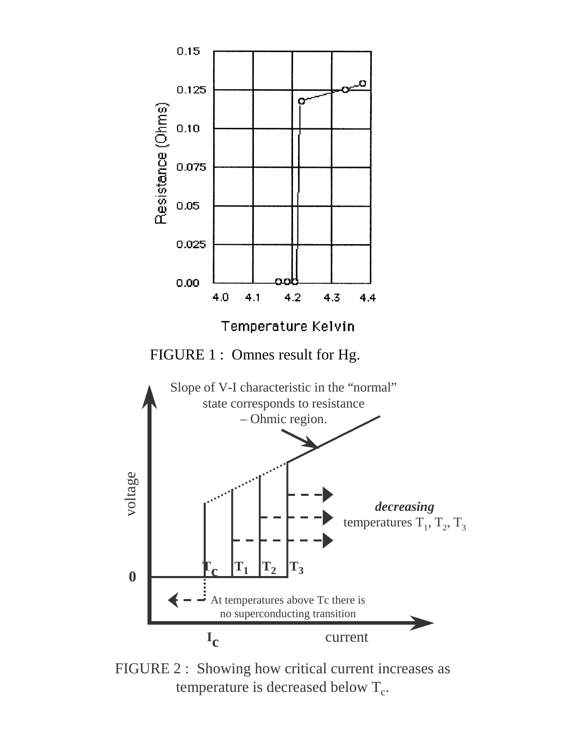

FIGURE 2 : Showing how critical current increases as temperature is decreased below  $T_c$ .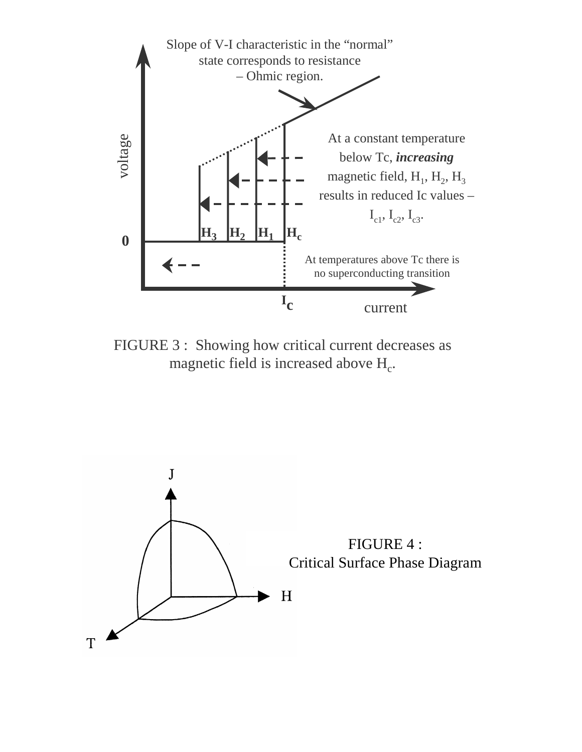

FIGURE 3 : Showing how critical current decreases as magnetic field is increased above  $H_c$ .

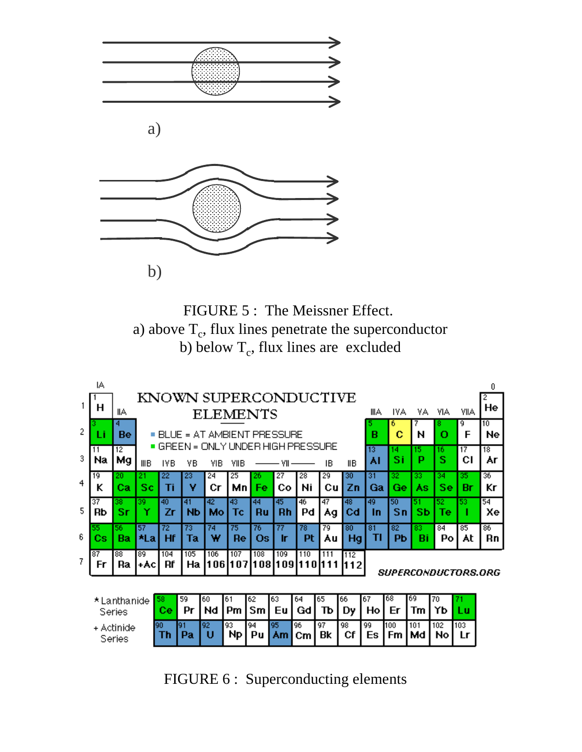

FIGURE 5 : The Meissner Effect. a) above  $T_c$ , flux lines penetrate the superconductor b) below  $T_c$ , flux lines are excluded



FIGURE 6 : Superconducting elements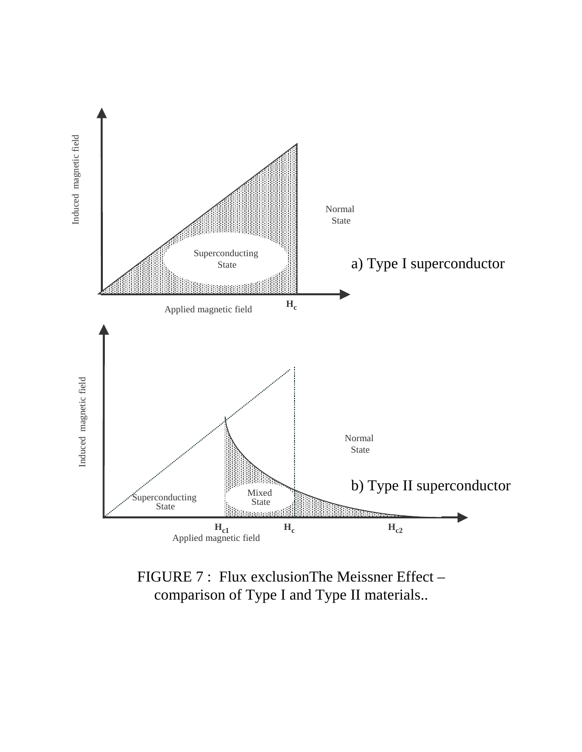

FIGURE 7 : Flux exclusionThe Meissner Effect – comparison of Type I and Type II materials..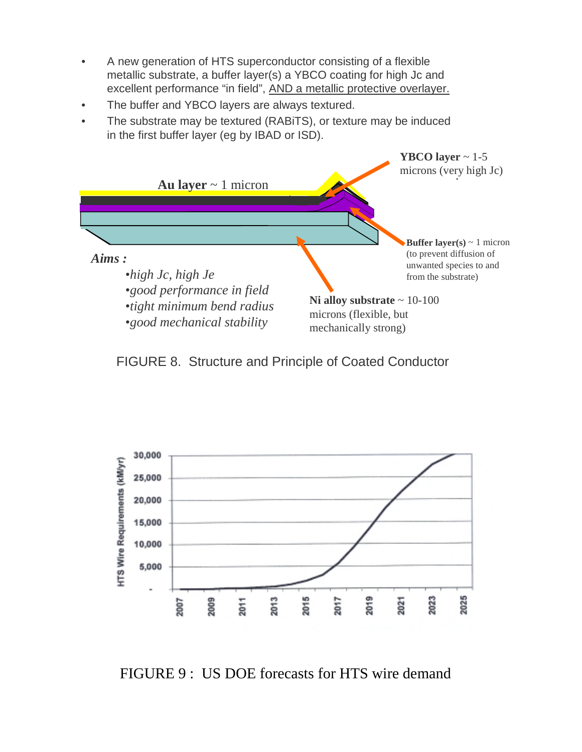- A new generation of HTS superconductor consisting of a flexible metallic substrate, a buffer layer(s) a YBCO coating for high Jc and excellent performance "in field", AND a metallic protective overlayer.
- The buffer and YBCO layers are always textured.
- The substrate may be textured (RABiTS), or texture may be induced in the first buffer layer (eg by IBAD or ISD).



FIGURE 8. Structure and Principle of Coated Conductor



FIGURE 9 : US DOE forecasts for HTS wire demand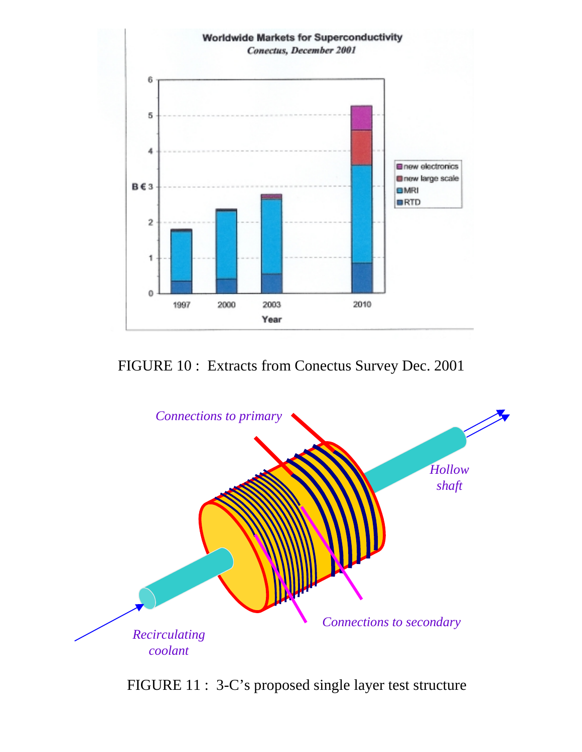

# FIGURE 10 : Extracts from Conectus Survey Dec. 2001



FIGURE 11 : 3-C's proposed single layer test structure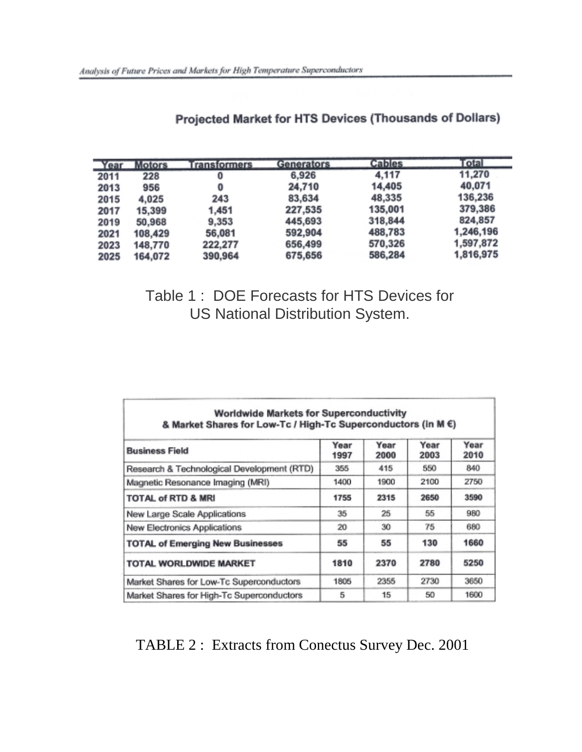| Year | <b>Motors</b> | <b>Transformers</b> | Generators | <b>Cables</b> | Total     |
|------|---------------|---------------------|------------|---------------|-----------|
| 2011 | 228           | 0                   | 6,926      | 4,117         | 11,270    |
| 2013 | 956           | 0                   | 24,710     | 14,405        | 40,071    |
| 2015 | 4,025         | 243                 | 83,634     | 48,335        | 136,236   |
| 2017 | 15,399        | 1,451               | 227,535    | 135,001       | 379,386   |
| 2019 | 50,968        | 9,353               | 445,693    | 318,844       | 824,857   |
| 2021 | 108,429       | 56,081              | 592,904    | 488,783       | 1,246,196 |
| 2023 | 148,770       | 222,277             | 656,499    | 570,326       | 1,597,872 |
| 2025 | 164,072       | 390,964             | 675,656    | 586,284       | 1,816,975 |

Projected Market for HTS Devices (Thousands of Dollars)

# Table 1 : DOE Forecasts for HTS Devices for US National Distribution System.

| <b>Worldwide Markets for Superconductivity</b><br>& Market Shares for Low-Tc / High-Tc Superconductors (in M €) |              |              |              |              |  |  |  |  |
|-----------------------------------------------------------------------------------------------------------------|--------------|--------------|--------------|--------------|--|--|--|--|
| <b>Business Field</b>                                                                                           | Year<br>1997 | Year<br>2000 | Year<br>2003 | Year<br>2010 |  |  |  |  |
| Research & Technological Development (RTD)                                                                      | 355          | 415          | 550          | 840          |  |  |  |  |
| Magnetic Resonance Imaging (MRI)                                                                                | 1400         | 1900         | 2100         | 2750         |  |  |  |  |
| <b>TOTAL of RTD &amp; MRI</b>                                                                                   | 1755         | 2315         | 2650         | 3590         |  |  |  |  |
| New Large Scale Applications                                                                                    | 35           | 25           | 55           | 980          |  |  |  |  |
| New Electronics Applications                                                                                    | 20           | 30           | 75           | 680          |  |  |  |  |
| <b>TOTAL of Emerging New Businesses</b>                                                                         | 55           | 55           | 130          | 1660         |  |  |  |  |
| <b>TOTAL WORLDWIDE MARKET</b>                                                                                   | 1810         | 2370         | 2780         | 5250         |  |  |  |  |
| Market Shares for Low-Tc Superconductors                                                                        | 1805         | 2355         | 2730         | 3650         |  |  |  |  |
| Market Shares for High-Tc Superconductors                                                                       | 5            | 15           | 50           | 1600         |  |  |  |  |

# TABLE 2 : Extracts from Conectus Survey Dec. 2001